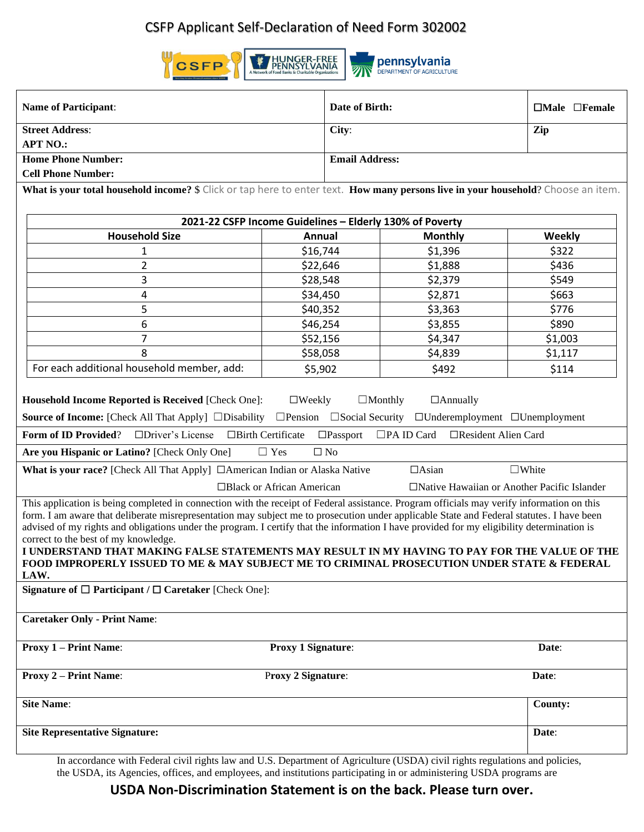## CSFP Applicant Self-Declaration of Need Form 302002





| <b>Name of Participant:</b>                                                                                                                                                                                                                                                                                                                                                                                                                                                                                                                                                                                                                                                                                                                                                                                                                                | Date of Birth: |                       | $\Box$ Male $\Box$ Female |
|------------------------------------------------------------------------------------------------------------------------------------------------------------------------------------------------------------------------------------------------------------------------------------------------------------------------------------------------------------------------------------------------------------------------------------------------------------------------------------------------------------------------------------------------------------------------------------------------------------------------------------------------------------------------------------------------------------------------------------------------------------------------------------------------------------------------------------------------------------|----------------|-----------------------|---------------------------|
| <b>Street Address:</b>                                                                                                                                                                                                                                                                                                                                                                                                                                                                                                                                                                                                                                                                                                                                                                                                                                     |                |                       | Zip                       |
| <b>APT NO.:</b>                                                                                                                                                                                                                                                                                                                                                                                                                                                                                                                                                                                                                                                                                                                                                                                                                                            |                |                       |                           |
| <b>Home Phone Number:</b>                                                                                                                                                                                                                                                                                                                                                                                                                                                                                                                                                                                                                                                                                                                                                                                                                                  |                | <b>Email Address:</b> |                           |
| <b>Cell Phone Number:</b>                                                                                                                                                                                                                                                                                                                                                                                                                                                                                                                                                                                                                                                                                                                                                                                                                                  |                |                       |                           |
| What is your total household income? \$ Click or tap here to enter text. How many persons live in your household? Choose an item.                                                                                                                                                                                                                                                                                                                                                                                                                                                                                                                                                                                                                                                                                                                          |                |                       |                           |
| 2021-22 CSFP Income Guidelines - Elderly 130% of Poverty                                                                                                                                                                                                                                                                                                                                                                                                                                                                                                                                                                                                                                                                                                                                                                                                   |                |                       |                           |
| <b>Household Size</b>                                                                                                                                                                                                                                                                                                                                                                                                                                                                                                                                                                                                                                                                                                                                                                                                                                      | Annual         | <b>Monthly</b>        | <b>Weekly</b>             |
| 1                                                                                                                                                                                                                                                                                                                                                                                                                                                                                                                                                                                                                                                                                                                                                                                                                                                          | \$16,744       | \$1,396               | \$322                     |
| $\overline{2}$                                                                                                                                                                                                                                                                                                                                                                                                                                                                                                                                                                                                                                                                                                                                                                                                                                             | \$22,646       | \$1,888               | \$436                     |
| 3                                                                                                                                                                                                                                                                                                                                                                                                                                                                                                                                                                                                                                                                                                                                                                                                                                                          | \$28,548       | \$2,379               | \$549                     |
| 4                                                                                                                                                                                                                                                                                                                                                                                                                                                                                                                                                                                                                                                                                                                                                                                                                                                          | \$34,450       | \$2,871               | \$663                     |
| 5                                                                                                                                                                                                                                                                                                                                                                                                                                                                                                                                                                                                                                                                                                                                                                                                                                                          | \$40,352       | \$3,363               | \$776                     |
| 6                                                                                                                                                                                                                                                                                                                                                                                                                                                                                                                                                                                                                                                                                                                                                                                                                                                          | \$46,254       | \$3,855               | \$890                     |
| 7                                                                                                                                                                                                                                                                                                                                                                                                                                                                                                                                                                                                                                                                                                                                                                                                                                                          | \$52,156       | \$4,347               | \$1,003                   |
| 8                                                                                                                                                                                                                                                                                                                                                                                                                                                                                                                                                                                                                                                                                                                                                                                                                                                          | \$58,058       | \$4,839               | \$1,117                   |
| For each additional household member, add:                                                                                                                                                                                                                                                                                                                                                                                                                                                                                                                                                                                                                                                                                                                                                                                                                 | \$5,902        | \$492                 | \$114                     |
| Form of ID Provided?<br>□Driver's License<br>□Birth Certificate<br>$\Box$ PA ID Card<br>□Resident Alien Card<br>$\square$ Passport<br>Are you Hispanic or Latino? [Check Only One]<br>$\Box$ Yes<br>$\square$ No<br>$\Box$ Asian<br>What is your race? [Check All That Apply] □ American Indian or Alaska Native<br>$\square$ White<br>□Black or African American<br>□Native Hawaiian or Another Pacific Islander<br>This application is being completed in connection with the receipt of Federal assistance. Program officials may verify information on this<br>form. I am aware that deliberate misrepresentation may subject me to prosecution under applicable State and Federal statutes. I have been<br>advised of my rights and obligations under the program. I certify that the information I have provided for my eligibility determination is |                |                       |                           |
| correct to the best of my knowledge.<br>I UNDERSTAND THAT MAKING FALSE STATEMENTS MAY RESULT IN MY HAVING TO PAY FOR THE VALUE OF THE<br>FOOD IMPROPERLY ISSUED TO ME & MAY SUBJECT ME TO CRIMINAL PROSECUTION UNDER STATE & FEDERAL<br>LAW.                                                                                                                                                                                                                                                                                                                                                                                                                                                                                                                                                                                                               |                |                       |                           |
| Signature of $\Box$ Participant / $\Box$ Caretaker [Check One]:                                                                                                                                                                                                                                                                                                                                                                                                                                                                                                                                                                                                                                                                                                                                                                                            |                |                       |                           |
| <b>Caretaker Only - Print Name:</b>                                                                                                                                                                                                                                                                                                                                                                                                                                                                                                                                                                                                                                                                                                                                                                                                                        |                |                       |                           |
| $\overline{\text{Proxy 1}}$ – Print Name:<br>Proxy 1 Signature:                                                                                                                                                                                                                                                                                                                                                                                                                                                                                                                                                                                                                                                                                                                                                                                            |                |                       | Date:                     |
| <b>Proxy 2 – Print Name:</b><br>Proxy 2 Signature:                                                                                                                                                                                                                                                                                                                                                                                                                                                                                                                                                                                                                                                                                                                                                                                                         |                |                       | Date:                     |
| <b>Site Name:</b>                                                                                                                                                                                                                                                                                                                                                                                                                                                                                                                                                                                                                                                                                                                                                                                                                                          |                |                       | <b>County:</b>            |
| <b>Site Representative Signature:</b>                                                                                                                                                                                                                                                                                                                                                                                                                                                                                                                                                                                                                                                                                                                                                                                                                      |                |                       | Date:                     |

In accordance with Federal civil rights law and U.S. Department of Agriculture (USDA) civil rights regulations and policies, the USDA, its Agencies, offices, and employees, and institutions participating in or administering USDA programs are

**USDA Non-Discrimination Statement is on the back. Please turn over.**